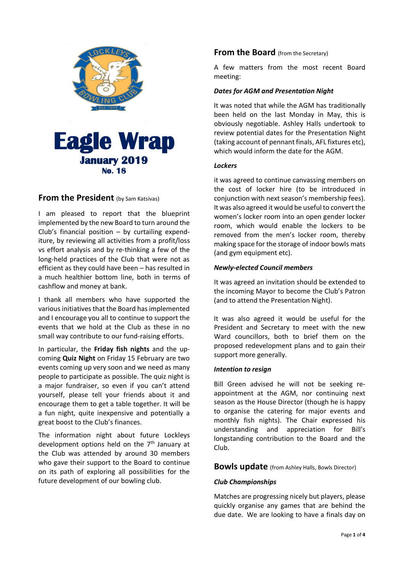

## **From the President** (by Sam Katsivas)

I am pleased to report that the blueprint implemented by the new Board to turn around the Club's financial position  $-$  by curtailing expenditure, by reviewing all activities from a profit/loss vs effort analysis and by re-thinking a few of the long-held practices of the Club that were not as efficient as they could have been – has resulted in a much healthier bottom line, both in terms of cashflow and money at bank.

I thank all members who have supported the various initiatives that the Board has implemented and I encourage you all to continue to support the events that we hold at the Club as these in no small way contribute to our fund-raising efforts.

In particular, the **Friday fish nights** and the upcoming **Quiz Night** on Friday 15 February are two events coming up very soon and we need as many people to participate as possible. The quiz night is a major fundraiser, so even if you can't attend yourself, please tell your friends about it and encourage them to get a table together. It will be a fun night, quite inexpensive and potentially a great boost to the Club's finances.

The information night about future Lockleys development options held on the 7<sup>th</sup> January at the Club was attended by around 30 members who gave their support to the Board to continue on its path of exploring all possibilities for the future development of our bowling club.

## **From the Board** (from the Secretary)

A few matters from the most recent Board meeting:

## *Dates for AGM and Presentation Night*

It was noted that while the AGM has traditionally been held on the last Monday in May, this is obviously negotiable. Ashley Halls undertook to review potential dates for the Presentation Night (taking account of pennant finals, AFL fixtures etc), which would inform the date for the AGM.

#### *Lockers*

it was agreed to continue canvassing members on the cost of locker hire (to be introduced in conjunction with next season's membership fees). It was also agreed it would be useful to convert the women's locker room into an open gender locker room, which would enable the lockers to be removed from the men's locker room, thereby making space for the storage of indoor bowls mats (and gym equipment etc).

### *Newly-elected Council members*

It was agreed an invitation should be extended to the incoming Mayor to become the Club's Patron (and to attend the Presentation Night).

It was also agreed it would be useful for the President and Secretary to meet with the new Ward councillors, both to brief them on the proposed redevelopment plans and to gain their support more generally.

### *Intention to resign*

Bill Green advised he will not be seeking reappointment at the AGM, nor continuing next season as the House Director (though he is happy to organise the catering for major events and monthly fish nights). The Chair expressed his understanding and appreciation for Bill's longstanding contribution to the Board and the Club.

### **Bowls update** (from Ashley Halls, Bowls Director)

### *Club Championships*

Matches are progressing nicely but players, please quickly organise any games that are behind the due date. We are looking to have a finals day on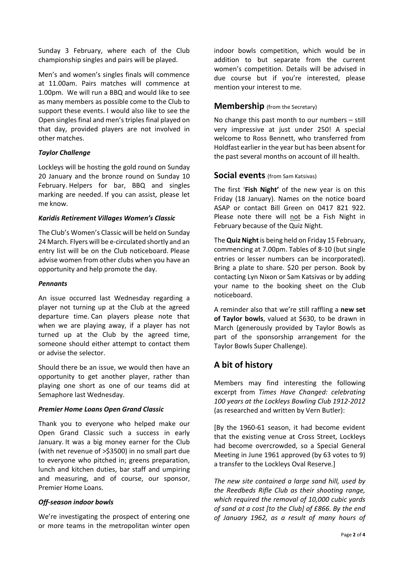Sunday 3 February, where each of the Club championship singles and pairs will be played.

Men's and women's singles finals will commence at 11.00am. Pairs matches will commence at 1.00pm. We will run a BBQ and would like to see as many members as possible come to the Club to support these events. I would also like to see the Open singles final and men's triples final played on that day, provided players are not involved in other matches.

### *Taylor Challenge*

Lockleys will be hosting the gold round on Sunday 20 January and the bronze round on Sunday 10 February. Helpers for bar, BBQ and singles marking are needed. If you can assist, please let me know.

### *Karidis Retirement Villages Women's Classic*

The Club's Women's Classic will be held on Sunday 24 March. Flyers will be e-circulated shortly and an entry list will be on the Club noticeboard. Please advise women from other clubs when you have an opportunity and help promote the day.

#### *Pennants*

An issue occurred last Wednesday regarding a player not turning up at the Club at the agreed departure time. Can players please note that when we are playing away, if a player has not turned up at the Club by the agreed time, someone should either attempt to contact them or advise the selector.

Should there be an issue, we would then have an opportunity to get another player, rather than playing one short as one of our teams did at Semaphore last Wednesday.

### *Premier Home Loans Open Grand Classic*

Thank you to everyone who helped make our Open Grand Classic such a success in early January. It was a big money earner for the Club (with net revenue of >\$3500) in no small part due to everyone who pitched in; greens preparation, lunch and kitchen duties, bar staff and umpiring and measuring, and of course, our sponsor, Premier Home Loans.

## *Off-season indoor bowls*

We're investigating the prospect of entering one or more teams in the metropolitan winter open

indoor bowls competition, which would be in addition to but separate from the current women's competition. Details will be advised in due course but if you're interested, please mention your interest to me.

## **Membership** (from the Secretary)

No change this past month to our numbers – still very impressive at just under 250! A special welcome to Ross Bennett, who transferred from Holdfast earlier in the year but has been absent for the past several months on account of ill health.

## **Social events** (from Sam Katsivas)

The first '**Fish Night'** of the new year is on this Friday (18 January). Names on the notice board ASAP or contact Bill Green on 0417 821 922. Please note there will not be a Fish Night in February because of the Quiz Night.

The**Quiz Night**is being held on Friday 15 February, commencing at 7.00pm. Tables of 8-10 (but single entries or lesser numbers can be incorporated). Bring a plate to share. \$20 per person. Book by contacting Lyn Nixon or Sam Katsivas or by adding your name to the booking sheet on the Club noticeboard.

A reminder also that we're still raffling a **new set of Taylor bowls**, valued at \$630, to be drawn in March (generously provided by Taylor Bowls as part of the sponsorship arrangement for the Taylor Bowls Super Challenge).

# **A bit of history**

Members may find interesting the following excerpt from *Times Have Changed: celebrating 100 years at the Lockleys Bowling Club 1912-2012* (as researched and written by Vern Butler):

[By the 1960-61 season, it had become evident that the existing venue at Cross Street, Lockleys had become overcrowded, so a Special General Meeting in June 1961 approved (by 63 votes to 9) a transfer to the Lockleys Oval Reserve.]

*The new site contained a large sand hill, used by the Reedbeds Rifle Club as their shooting range, which required the removal of 10,000 cubic yards of sand at a cost [to the Club] of £866. By the end of January 1962, as a result of many hours of*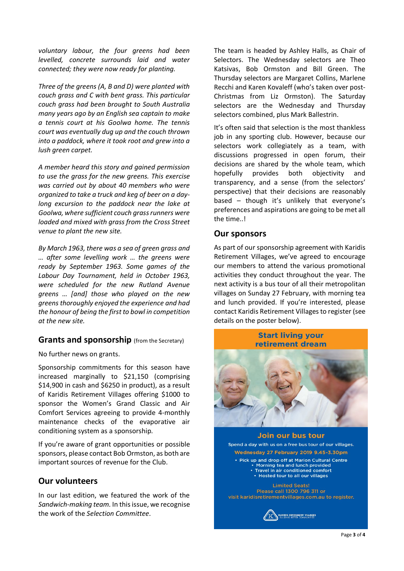*voluntary labour, the four greens had been levelled, concrete surrounds laid and water connected; they were now ready for planting.*

*Three of the greens (A, B and D) were planted with couch grass and C with bent grass. This particular couch grass had been brought to South Australia many years ago by an English sea captain to make a tennis court at his Goolwa home. The tennis court was eventually dug up and the couch thrown into a paddock, where it took root and grew into a lush green carpet.*

*A member heard this story and gained permission to use the grass for the new greens. This exercise was carried out by about 40 members who were organized to take a truck and keg of beer on a daylong excursion to the paddock near the lake at Goolwa, where sufficient couch grass runners were loaded and mixed with grass from the Cross Street venue to plant the new site.*

*By March 1963, there was a sea of green grass and … after some levelling work … the greens were ready by September 1963. Some games of the Labour Day Tournament, held in October 1963, were scheduled for the new Rutland Avenue greens … [and] those who played on the new greens thoroughly enjoyed the experience and had the honour of being the first to bowl in competition at the new site.*

## **Grants and sponsorship** (from the Secretary)

No further news on grants.

Sponsorship commitments for this season have increased marginally to \$21,150 (comprising \$14,900 in cash and \$6250 in product), as a result of Karidis Retirement Villages offering \$1000 to sponsor the Women's Grand Classic and Air Comfort Services agreeing to provide 4-monthly maintenance checks of the evaporative air conditioning system as a sponsorship.

If you're aware of grant opportunities or possible sponsors, please contact Bob Ormston, as both are important sources of revenue for the Club.

## **Our volunteers**

In our last edition, we featured the work of the *Sandwich-making team.* In this issue, we recognise the work of the *Selection Committee*.

The team is headed by Ashley Halls, as Chair of Selectors. The Wednesday selectors are Theo Katsivas, Bob Ormston and Bill Green. The Thursday selectors are Margaret Collins, Marlene Recchi and Karen Kovaleff (who's taken over post-Christmas from Liz Ormston). The Saturday selectors are the Wednesday and Thursday selectors combined, plus Mark Ballestrin.

It's often said that selection is the most thankless job in any sporting club. However, because our selectors work collegiately as a team, with discussions progressed in open forum, their decisions are shared by the whole team, which hopefully provides both objectivity and transparency, and a sense (from the selectors' perspective) that their decisions are reasonably based – though it's unlikely that everyone's preferences and aspirations are going to be met all the time..!

## **Our sponsors**

As part of our sponsorship agreement with Karidis Retirement Villages, we've agreed to encourage our members to attend the various promotional activities they conduct throughout the year. The next activity is a bus tour of all their metropolitan villages on Sunday 27 February, with morning tea and lunch provided. If you're interested, please contact Karidis Retirement Villages to register (see details on the poster below).

## **Start living your** retirement dream



Join our bus tour Spend a day with us on a free bus tour of our villages. Wednesday 27 February 2019 9.45-3.30pm • Pick up and drop off at Marion Cultural Centre • Morning tea and lunch provided<br>• Travel in air conditioned comfort • Hosted tour to all our villages **Limited Seats!** Please call 1300 796 311 or visit karidisretirementvillages.com.au to register.